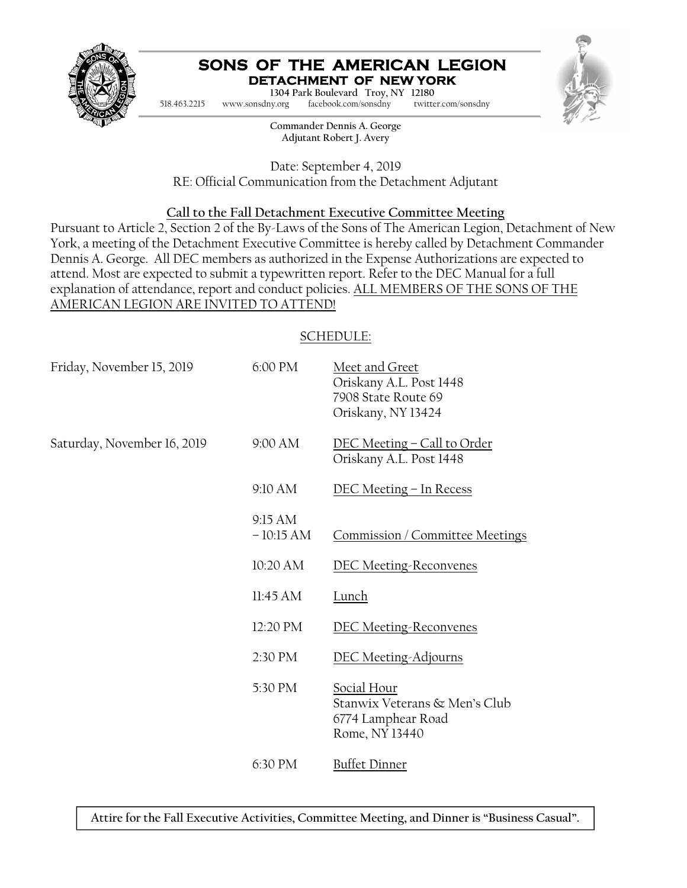

#### **SONS OF THE AMERICAN LEGION DETACHMENT OF NEW YORK**

1304 Park Boulevard Troy, NY 12180

518.463.2215 www.sonsdny.org facebook.com/sonsdny twitter.com/sonsdny



**Commander Dennis A. George Adjutant Robert J. Avery** 

Date: September 4, 2019 RE: Official Communication from the Detachment Adjutant

# **Call to the Fall Detachment Executive Committee Meeting**

Pursuant to Article 2, Section 2 of the By-Laws of the Sons of The American Legion, Detachment of New York, a meeting of the Detachment Executive Committee is hereby called by Detachment Commander Dennis A. George. All DEC members as authorized in the Expense Authorizations are expected to attend. Most are expected to submit a typewritten report. Refer to the DEC Manual for a full explanation of attendance, report and conduct policies. ALL MEMBERS OF THE SONS OF THE AMERICAN LEGION ARE INVITED TO ATTEND!

# SCHEDULE:

| 6:00 PM                | Meet and Greet<br>Oriskany A.L. Post 1448<br>7908 State Route 69<br>Oriskany, NY 13424 |
|------------------------|----------------------------------------------------------------------------------------|
| 9:00 AM                | <u>DEC Meeting - Call to Order</u><br>Oriskany A.L. Post 1448                          |
| 9:10 AM                | <u>DEC Meeting – In Recess</u>                                                         |
| 9:15 AM<br>$-10:15 AM$ | Commission / Committee Meetings                                                        |
| 10:20 AM               | <b>DEC Meeting-Reconvenes</b>                                                          |
| 11:45 AM               | Lunch                                                                                  |
| 12:20 PM               | <b>DEC Meeting-Reconvenes</b>                                                          |
| 2:30 PM                | <b>DEC Meeting-Adjourns</b>                                                            |
| 5:30 PM                | Social Hour<br>Stanwix Veterans & Men's Club<br>6774 Lamphear Road<br>Rome, NY 13440   |
| 6:30 PM                | <b>Buffet Dinner</b>                                                                   |
|                        |                                                                                        |